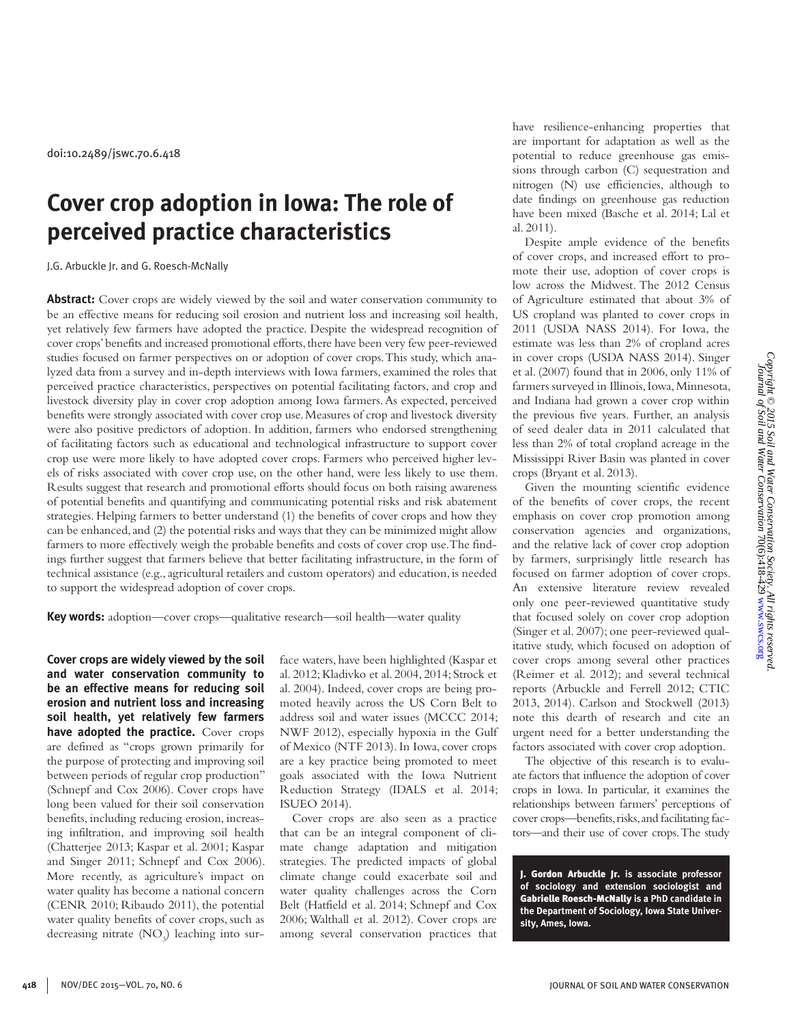# **Cover crop adoption in Iowa: The role of perceived practice characteristics**

J.G. Arbuckle Jr. and G. Roesch-McNally

**Abstract:** Cover crops are widely viewed by the soil and water conservation community to be an effective means for reducing soil erosion and nutrient loss and increasing soil health, yet relatively few farmers have adopted the practice. Despite the widespread recognition of cover crops' benefits and increased promotional efforts, there have been very few peer-reviewed studies focused on farmer perspectives on or adoption of cover crops. This study, which analyzed data from a survey and in-depth interviews with Iowa farmers, examined the roles that perceived practice characteristics, perspectives on potential facilitating factors, and crop and livestock diversity play in cover crop adoption among Iowa farmers. As expected, perceived benefits were strongly associated with cover crop use. Measures of crop and livestock diversity were also positive predictors of adoption. In addition, farmers who endorsed strengthening of facilitating factors such as educational and technological infrastructure to support cover crop use were more likely to have adopted cover crops. Farmers who perceived higher levels of risks associated with cover crop use, on the other hand, were less likely to use them. Results suggest that research and promotional efforts should focus on both raising awareness of potential benefits and quantifying and communicating potential risks and risk abatement strategies. Helping farmers to better understand (1) the benefits of cover crops and how they can be enhanced, and (2) the potential risks and ways that they can be minimized might allow farmers to more effectively weigh the probable benefits and costs of cover crop use. The findings further suggest that farmers believe that better facilitating infrastructure, in the form of technical assistance (e.g., agricultural retailers and custom operators) and education, is needed to support the widespread adoption of cover crops.

**Key words:** adoption—cover crops—qualitative research—soil health—water quality

**Cover crops are widely viewed by the soil and water conservation community to be an effective means for reducing soil erosion and nutrient loss and increasing soil health, yet relatively few farmers**  have adopted the practice. Cover crops are defined as "crops grown primarily for the purpose of protecting and improving soil between periods of regular crop production" (Schnepf and Cox 2006). Cover crops have long been valued for their soil conservation benefits, including reducing erosion, increasing infiltration, and improving soil health (Chatterjee 2013; Kaspar et al. 2001; Kaspar and Singer 2011; Schnepf and Cox 2006). More recently, as agriculture's impact on water quality has become a national concern (CENR 2010; Ribaudo 2011), the potential water quality benefits of cover crops, such as decreasing nitrate  $(NO<sub>3</sub>)$  leaching into surface waters, have been highlighted (Kaspar et al. 2012; Kladivko et al. 2004, 2014; Strock et al. 2004). Indeed, cover crops are being promoted heavily across the US Corn Belt to address soil and water issues (MCCC 2014; NWF 2012), especially hypoxia in the Gulf of Mexico (NTF 2013). In Iowa, cover crops are a key practice being promoted to meet goals associated with the Iowa Nutrient Reduction Strategy (IDALS et al. 2014; ISUEO 2014).

Cover crops are also seen as a practice that can be an integral component of climate change adaptation and mitigation strategies. The predicted impacts of global climate change could exacerbate soil and water quality challenges across the Corn Belt (Hatfield et al. 2014; Schnepf and Cox 2006; Walthall et al. 2012). Cover crops are among several conservation practices that have resilience-enhancing properties that are important for adaptation as well as the potential to reduce greenhouse gas emissions through carbon (C) sequestration and nitrogen (N) use efficiencies, although to date findings on greenhouse gas reduction have been mixed (Basche et al. 2014; Lal et al. 2011).

Despite ample evidence of the benefits of cover crops, and increased effort to promote their use, adoption of cover crops is low across the Midwest. The 2012 Census of Agriculture estimated that about 3% of US cropland was planted to cover crops in 2011 (USDA NASS 2014). For Iowa, the estimate was less than 2% of cropland acres in cover crops (USDA NASS 2014). Singer et al. (2007) found that in 2006, only 11% of farmers surveyed in Illinois, Iowa, Minnesota, and Indiana had grown a cover crop within the previous five years. Further, an analysis of seed dealer data in 2011 calculated that less than 2% of total cropland acreage in the Mississippi River Basin was planted in cover crops (Bryant et al. 2013).

Given the mounting scientific evidence of the benefits of cover crops, the recent emphasis on cover crop promotion among conservation agencies and organizations, and the relative lack of cover crop adoption by farmers, surprisingly little research has focused on farmer adoption of cover crops. An extensive literature review revealed only one peer-reviewed quantitative study that focused solely on cover crop adoption (Singer et al. 2007); one peer-reviewed qualitative study, which focused on adoption of cover crops among several other practices (Reimer et al. 2012); and several technical reports (Arbuckle and Ferrell 2012; CTIC 2013, 2014). Carlson and Stockwell (2013) note this dearth of research and cite an urgent need for a better understanding the factors associated with cover crop adoption.

The objective of this research is to evaluate factors that influence the adoption of cover crops in Iowa. In particular, it examines the relationships between farmers' perceptions of cover crops—benefits, risks, and facilitating factors—and their use of cover crops. The study

J. Gordon Arbuckle Jr. **is associate professor of sociology and extension sociologist and**  Gabrielle Roesch-McNally **is a PhD candidate in the Department of Sociology, Iowa State University, Ames, Iowa.**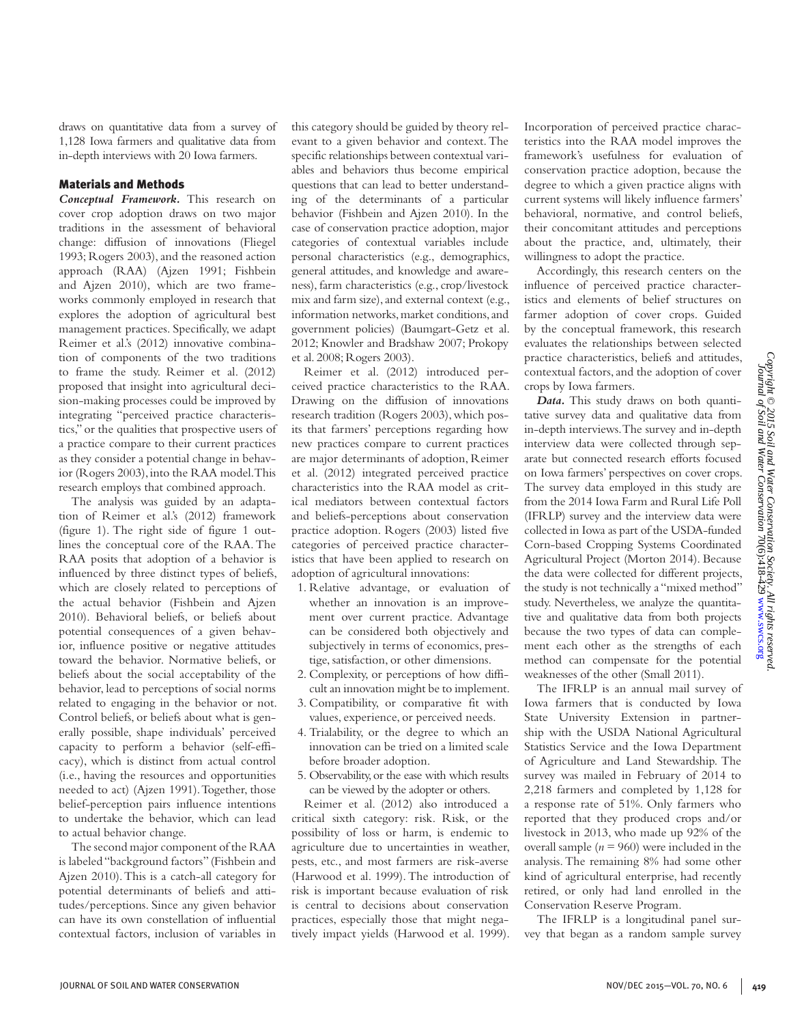draws on quantitative data from a survey of 1,128 Iowa farmers and qualitative data from in-depth interviews with 20 Iowa farmers.

## Materials and Methods

*Conceptual Framework.* This research on cover crop adoption draws on two major traditions in the assessment of behavioral change: diffusion of innovations (Fliegel 1993; Rogers 2003), and the reasoned action approach (RAA) (Ajzen 1991; Fishbein and Ajzen 2010), which are two frameworks commonly employed in research that explores the adoption of agricultural best management practices. Specifically, we adapt Reimer et al.'s (2012) innovative combination of components of the two traditions to frame the study. Reimer et al. (2012) proposed that insight into agricultural decision-making processes could be improved by integrating "perceived practice characteristics," or the qualities that prospective users of a practice compare to their current practices as they consider a potential change in behavior (Rogers 2003), into the RAA model. This research employs that combined approach.

The analysis was guided by an adaptation of Reimer et al.'s (2012) framework (figure 1). The right side of figure 1 outlines the conceptual core of the RAA. The RAA posits that adoption of a behavior is influenced by three distinct types of beliefs, which are closely related to perceptions of the actual behavior (Fishbein and Ajzen 2010). Behavioral beliefs, or beliefs about potential consequences of a given behavior, influence positive or negative attitudes toward the behavior. Normative beliefs, or beliefs about the social acceptability of the behavior, lead to perceptions of social norms related to engaging in the behavior or not. Control beliefs, or beliefs about what is generally possible, shape individuals' perceived capacity to perform a behavior (self-efficacy), which is distinct from actual control (i.e., having the resources and opportunities needed to act) (Ajzen 1991). Together, those belief-perception pairs influence intentions to undertake the behavior, which can lead to actual behavior change.

The second major component of the RAA is labeled "background factors" (Fishbein and Ajzen 2010). This is a catch-all category for potential determinants of beliefs and attitudes/perceptions. Since any given behavior can have its own constellation of influential contextual factors, inclusion of variables in this category should be guided by theory relevant to a given behavior and context. The specific relationships between contextual variables and behaviors thus become empirical questions that can lead to better understanding of the determinants of a particular behavior (Fishbein and Ajzen 2010). In the case of conservation practice adoption, major categories of contextual variables include personal characteristics (e.g., demographics, general attitudes, and knowledge and awareness), farm characteristics (e.g., crop/livestock mix and farm size), and external context (e.g., information networks, market conditions, and government policies) (Baumgart-Getz et al. 2012; Knowler and Bradshaw 2007; Prokopy et al. 2008; Rogers 2003).

Reimer et al. (2012) introduced perceived practice characteristics to the RAA. Drawing on the diffusion of innovations research tradition (Rogers 2003), which posits that farmers' perceptions regarding how new practices compare to current practices are major determinants of adoption, Reimer et al. (2012) integrated perceived practice characteristics into the RAA model as critical mediators between contextual factors and beliefs-perceptions about conservation practice adoption. Rogers (2003) listed five categories of perceived practice characteristics that have been applied to research on adoption of agricultural innovations:

- 1. Relative advantage, or evaluation of whether an innovation is an improvement over current practice. Advantage can be considered both objectively and subjectively in terms of economics, prestige, satisfaction, or other dimensions.
- 2. Complexity, or perceptions of how difficult an innovation might be to implement.
- 3. Compatibility, or comparative fit with values, experience, or perceived needs.
- 4. Trialability, or the degree to which an innovation can be tried on a limited scale before broader adoption.
- 5. Observability, or the ease with which results can be viewed by the adopter or others.

Reimer et al. (2012) also introduced a critical sixth category: risk. Risk, or the possibility of loss or harm, is endemic to agriculture due to uncertainties in weather, pests, etc., and most farmers are risk-averse (Harwood et al. 1999). The introduction of risk is important because evaluation of risk is central to decisions about conservation practices, especially those that might negatively impact yields (Harwood et al. 1999). Incorporation of perceived practice characteristics into the RAA model improves the framework's usefulness for evaluation of conservation practice adoption, because the degree to which a given practice aligns with current systems will likely influence farmers' behavioral, normative, and control beliefs, their concomitant attitudes and perceptions about the practice, and, ultimately, their willingness to adopt the practice.

Accordingly, this research centers on the influence of perceived practice characteristics and elements of belief structures on farmer adoption of cover crops. Guided by the conceptual framework, this research evaluates the relationships between selected practice characteristics, beliefs and attitudes, contextual factors, and the adoption of cover crops by Iowa farmers.

*Data.* This study draws on both quantitative survey data and qualitative data from in-depth interviews. The survey and in-depth interview data were collected through separate but connected research efforts focused on Iowa farmers' perspectives on cover crops. The survey data employed in this study are from the 2014 Iowa Farm and Rural Life Poll (IFRLP) survey and the interview data were collected in Iowa as part of the USDA-funded Corn-based Cropping Systems Coordinated Agricultural Project (Morton 2014). Because the data were collected for different projects, the study is not technically a "mixed method" study. Nevertheless, we analyze the quantitative and qualitative data from both projects because the two types of data can complement each other as the strengths of each method can compensate for the potential weaknesses of the other (Small 2011).

The IFRLP is an annual mail survey of Iowa farmers that is conducted by Iowa State University Extension in partnership with the USDA National Agricultural Statistics Service and the Iowa Department of Agriculture and Land Stewardship. The survey was mailed in February of 2014 to 2,218 farmers and completed by 1,128 for a response rate of 51%. Only farmers who reported that they produced crops and/or livestock in 2013, who made up 92% of the overall sample  $(n = 960)$  were included in the analysis. The remaining 8% had some other kind of agricultural enterprise, had recently retired, or only had land enrolled in the Conservation Reserve Program.

The IFRLP is a longitudinal panel survey that began as a random sample survey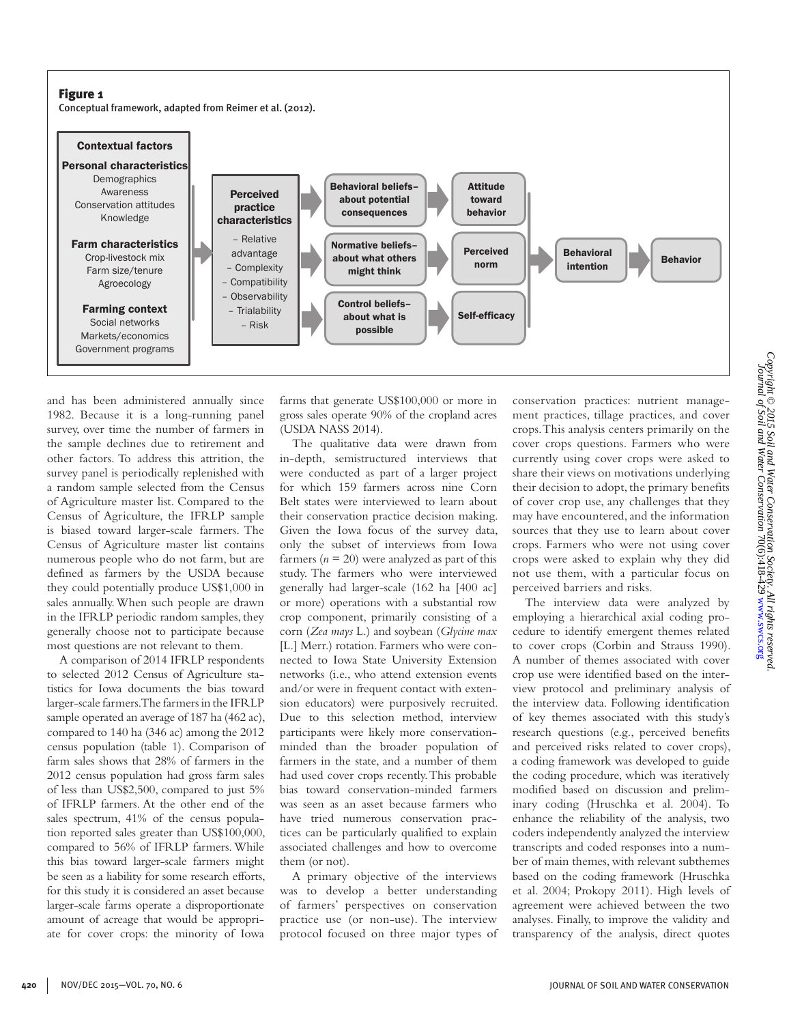## Figure 1

Conceptual framework, adapted from Reimer et al. (2012).



and has been administered annually since 1982. Because it is a long-running panel survey, over time the number of farmers in the sample declines due to retirement and other factors. To address this attrition, the survey panel is periodically replenished with a random sample selected from the Census of Agriculture master list. Compared to the Census of Agriculture, the IFRLP sample is biased toward larger-scale farmers. The Census of Agriculture master list contains numerous people who do not farm, but are defined as farmers by the USDA because they could potentially produce US\$1,000 in sales annually. When such people are drawn in the IFRLP periodic random samples, they generally choose not to participate because most questions are not relevant to them.

A comparison of 2014 IFRLP respondents to selected 2012 Census of Agriculture statistics for Iowa documents the bias toward larger-scale farmers. The farmers in the IFRLP sample operated an average of 187 ha (462 ac), compared to 140 ha (346 ac) among the 2012 census population (table 1). Comparison of farm sales shows that 28% of farmers in the 2012 census population had gross farm sales of less than US\$2,500, compared to just 5% of IFRLP farmers. At the other end of the sales spectrum, 41% of the census population reported sales greater than US\$100,000, compared to 56% of IFRLP farmers. While this bias toward larger-scale farmers might be seen as a liability for some research efforts, for this study it is considered an asset because larger-scale farms operate a disproportionate amount of acreage that would be appropriate for cover crops: the minority of Iowa

farms that generate US\$100,000 or more in gross sales operate 90% of the cropland acres (USDA NASS 2014).

The qualitative data were drawn from in-depth, semistructured interviews that were conducted as part of a larger project for which 159 farmers across nine Corn Belt states were interviewed to learn about their conservation practice decision making. Given the Iowa focus of the survey data, only the subset of interviews from Iowa farmers  $(n = 20)$  were analyzed as part of this study. The farmers who were interviewed generally had larger-scale (162 ha [400 ac] or more) operations with a substantial row crop component, primarily consisting of a corn (*Zea mays* L.) and soybean (*Glycine max* [L.] Merr.) rotation. Farmers who were connected to Iowa State University Extension networks (i.e., who attend extension events and/or were in frequent contact with extension educators) were purposively recruited. Due to this selection method, interview participants were likely more conservationminded than the broader population of farmers in the state, and a number of them had used cover crops recently. This probable bias toward conservation-minded farmers was seen as an asset because farmers who have tried numerous conservation practices can be particularly qualified to explain associated challenges and how to overcome them (or not).

A primary objective of the interviews was to develop a better understanding of farmers' perspectives on conservation practice use (or non-use). The interview protocol focused on three major types of conservation practices: nutrient management practices, tillage practices, and cover crops. This analysis centers primarily on the cover crops questions. Farmers who were currently using cover crops were asked to share their views on motivations underlying their decision to adopt, the primary benefits of cover crop use, any challenges that they may have encountered, and the information sources that they use to learn about cover crops. Farmers who were not using cover crops were asked to explain why they did not use them, with a particular focus on perceived barriers and risks.

The interview data were analyzed by employing a hierarchical axial coding procedure to identify emergent themes related to cover crops (Corbin and Strauss 1990). A number of themes associated with cover crop use were identified based on the interview protocol and preliminary analysis of the interview data. Following identification of key themes associated with this study's research questions (e.g., perceived benefits and perceived risks related to cover crops), a coding framework was developed to guide the coding procedure, which was iteratively modified based on discussion and preliminary coding (Hruschka et al. 2004). To enhance the reliability of the analysis, two coders independently analyzed the interview transcripts and coded responses into a number of main themes, with relevant subthemes based on the coding framework (Hruschka et al. 2004; Prokopy 2011). High levels of agreement were achieved between the two analyses. Finally, to improve the validity and transparency of the analysis, direct quotes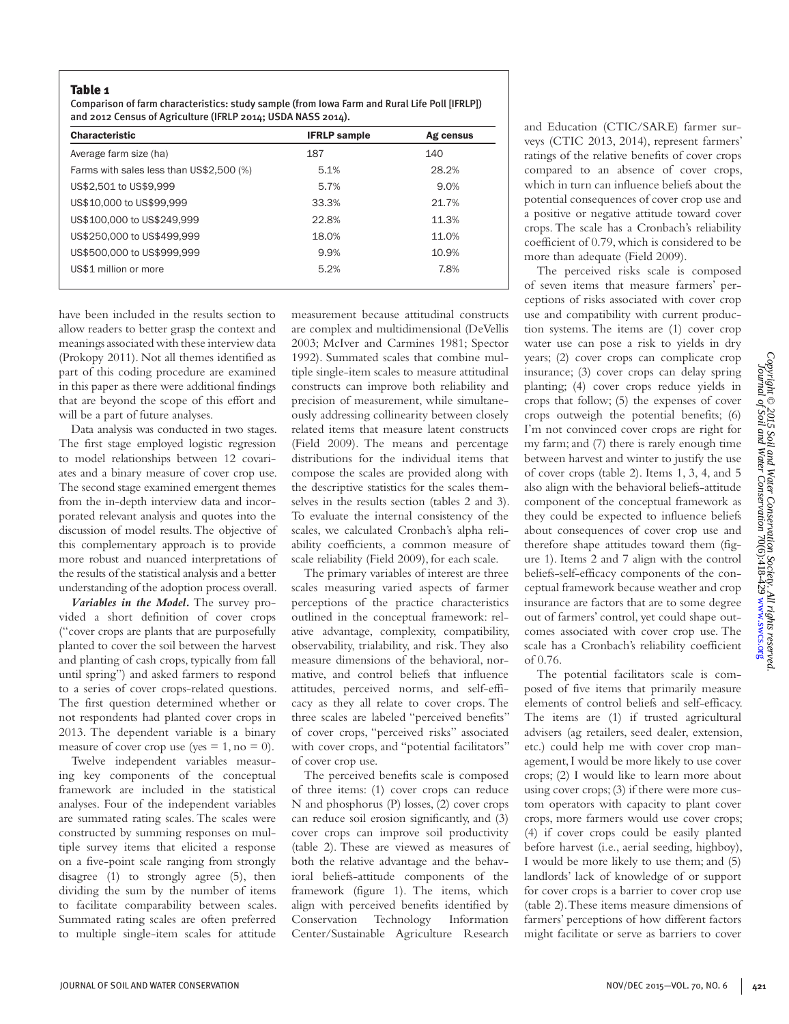## Table 1

Comparison of farm characteristics: study sample (from Iowa Farm and Rural Life Poll [IFRLP]) and 2012 Census of Agriculture (IFRLP 2014; USDA NASS 2014).

| <b>Characteristic</b>                    | <b>IFRLP</b> sample | Ag census |
|------------------------------------------|---------------------|-----------|
| Average farm size (ha)                   | 187                 | 140       |
| Farms with sales less than US\$2,500 (%) | 5.1%                | 28.2%     |
| US\$2,501 to US\$9,999                   | 5.7%                | 9.0%      |
| US\$10,000 to US\$99,999                 | 33.3%               | 21.7%     |
| US\$100,000 to US\$249,999               | 22.8%               | 11.3%     |
| US\$250,000 to US\$499,999               | 18.0%               | 11.0%     |
| US\$500,000 to US\$999,999               | 9.9%                | 10.9%     |
| US\$1 million or more                    | 5.2%                | 7.8%      |

have been included in the results section to allow readers to better grasp the context and meanings associated with these interview data (Prokopy 2011). Not all themes identified as part of this coding procedure are examined in this paper as there were additional findings that are beyond the scope of this effort and will be a part of future analyses.

Data analysis was conducted in two stages. The first stage employed logistic regression to model relationships between 12 covariates and a binary measure of cover crop use. The second stage examined emergent themes from the in-depth interview data and incorporated relevant analysis and quotes into the discussion of model results. The objective of this complementary approach is to provide more robust and nuanced interpretations of the results of the statistical analysis and a better understanding of the adoption process overall.

*Variables in the Model.* The survey provided a short definition of cover crops ("cover crops are plants that are purposefully planted to cover the soil between the harvest and planting of cash crops, typically from fall until spring") and asked farmers to respond to a series of cover crops-related questions. The first question determined whether or not respondents had planted cover crops in 2013. The dependent variable is a binary measure of cover crop use (yes =  $1$ , no = 0).

Twelve independent variables measuring key components of the conceptual framework are included in the statistical analyses. Four of the independent variables are summated rating scales. The scales were constructed by summing responses on multiple survey items that elicited a response on a five-point scale ranging from strongly disagree (1) to strongly agree (5), then dividing the sum by the number of items to facilitate comparability between scales. Summated rating scales are often preferred to multiple single-item scales for attitude

measurement because attitudinal constructs are complex and multidimensional (DeVellis 2003; McIver and Carmines 1981; Spector 1992). Summated scales that combine multiple single-item scales to measure attitudinal constructs can improve both reliability and precision of measurement, while simultaneously addressing collinearity between closely related items that measure latent constructs (Field 2009). The means and percentage distributions for the individual items that compose the scales are provided along with the descriptive statistics for the scales themselves in the results section (tables 2 and 3). To evaluate the internal consistency of the scales, we calculated Cronbach's alpha reliability coefficients, a common measure of scale reliability (Field 2009), for each scale.

The primary variables of interest are three scales measuring varied aspects of farmer perceptions of the practice characteristics outlined in the conceptual framework: relative advantage, complexity, compatibility, observability, trialability, and risk. They also measure dimensions of the behavioral, normative, and control beliefs that influence attitudes, perceived norms, and self-efficacy as they all relate to cover crops. The three scales are labeled "perceived benefits" of cover crops, "perceived risks" associated with cover crops, and "potential facilitators" of cover crop use.

The perceived benefits scale is composed of three items: (1) cover crops can reduce N and phosphorus (P) losses, (2) cover crops can reduce soil erosion significantly, and (3) cover crops can improve soil productivity (table 2). These are viewed as measures of both the relative advantage and the behavioral beliefs-attitude components of the framework (figure 1). The items, which align with perceived benefits identified by Conservation Technology Information Center/Sustainable Agriculture Research

and Education (CTIC/SARE) farmer surveys (CTIC 2013, 2014), represent farmers' ratings of the relative benefits of cover crops compared to an absence of cover crops, which in turn can influence beliefs about the potential consequences of cover crop use and a positive or negative attitude toward cover crops. The scale has a Cronbach's reliability coefficient of 0.79, which is considered to be more than adequate (Field 2009).

The perceived risks scale is composed of seven items that measure farmers' perceptions of risks associated with cover crop use and compatibility with current production systems. The items are (1) cover crop water use can pose a risk to yields in dry years; (2) cover crops can complicate crop insurance; (3) cover crops can delay spring planting; (4) cover crops reduce yields in crops that follow; (5) the expenses of cover crops outweigh the potential benefits; (6) I'm not convinced cover crops are right for my farm; and (7) there is rarely enough time between harvest and winter to justify the use of cover crops (table 2). Items 1, 3, 4, and 5 also align with the behavioral beliefs-attitude component of the conceptual framework as they could be expected to influence beliefs about consequences of cover crop use and therefore shape attitudes toward them (figure 1). Items 2 and 7 align with the control beliefs-self-efficacy components of the conceptual framework because weather and crop insurance are factors that are to some degree out of farmers' control, yet could shape outcomes associated with cover crop use. The scale has a Cronbach's reliability coefficient of 0.76.

The potential facilitators scale is composed of five items that primarily measure elements of control beliefs and self-efficacy. The items are (1) if trusted agricultural advisers (ag retailers, seed dealer, extension, etc.) could help me with cover crop management, I would be more likely to use cover crops; (2) I would like to learn more about using cover crops; (3) if there were more custom operators with capacity to plant cover crops, more farmers would use cover crops; (4) if cover crops could be easily planted before harvest (i.e., aerial seeding, highboy), I would be more likely to use them; and (5) landlords' lack of knowledge of or support for cover crops is a barrier to cover crop use (table 2). These items measure dimensions of farmers' perceptions of how different factors might facilitate or serve as barriers to cover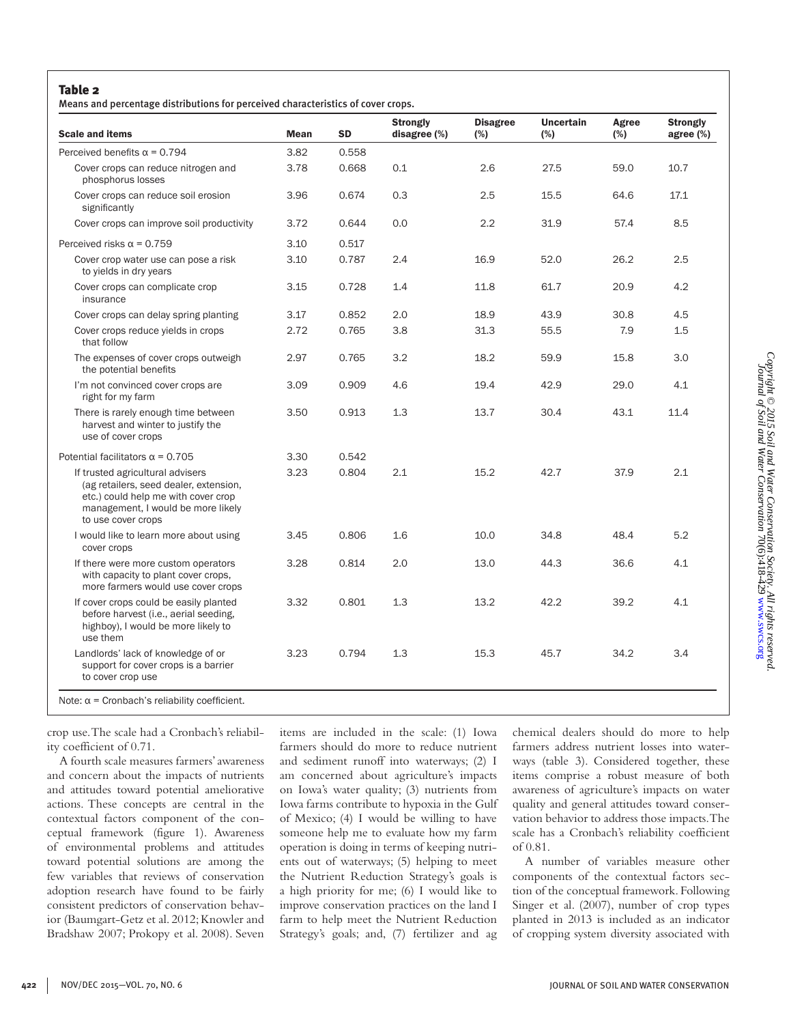## Table 2

Means and percentage distributions for perceived characteristics of cover crops.

| <b>Scale and items</b>                                                                                                                                                        | <b>Mean</b> | <b>SD</b> | <b>Strongly</b><br>disagree (%) | <b>Disagree</b><br>$(\%)$ | <b>Uncertain</b><br>(%) | Agree<br>(%) | <b>Strongly</b><br>agree (%) |
|-------------------------------------------------------------------------------------------------------------------------------------------------------------------------------|-------------|-----------|---------------------------------|---------------------------|-------------------------|--------------|------------------------------|
| Perceived benefits $\alpha$ = 0.794                                                                                                                                           | 3.82        | 0.558     |                                 |                           |                         |              |                              |
| Cover crops can reduce nitrogen and<br>phosphorus losses                                                                                                                      | 3.78        | 0.668     | 0.1                             | 2.6                       | 27.5                    | 59.0         | 10.7                         |
| Cover crops can reduce soil erosion<br>significantly                                                                                                                          | 3.96        | 0.674     | 0.3                             | 2.5                       | 15.5                    | 64.6         | 17.1                         |
| Cover crops can improve soil productivity                                                                                                                                     | 3.72        | 0.644     | 0.0                             | 2.2                       | 31.9                    | 57.4         | 8.5                          |
| Perceived risks $\alpha$ = 0.759                                                                                                                                              | 3.10        | 0.517     |                                 |                           |                         |              |                              |
| Cover crop water use can pose a risk<br>to yields in dry years                                                                                                                | 3.10        | 0.787     | 2.4                             | 16.9                      | 52.0                    | 26.2         | 2.5                          |
| Cover crops can complicate crop<br>insurance                                                                                                                                  | 3.15        | 0.728     | 1.4                             | 11.8                      | 61.7                    | 20.9         | 4.2                          |
| Cover crops can delay spring planting                                                                                                                                         | 3.17        | 0.852     | 2.0                             | 18.9                      | 43.9                    | 30.8         | 4.5                          |
| Cover crops reduce yields in crops<br>that follow                                                                                                                             | 2.72        | 0.765     | 3.8                             | 31.3                      | 55.5                    | 7.9          | 1.5                          |
| The expenses of cover crops outweigh<br>the potential benefits                                                                                                                | 2.97        | 0.765     | 3.2                             | 18.2                      | 59.9                    | 15.8         | 3.0                          |
| I'm not convinced cover crops are<br>right for my farm                                                                                                                        | 3.09        | 0.909     | 4.6                             | 19.4                      | 42.9                    | 29.0         | 4.1                          |
| There is rarely enough time between<br>harvest and winter to justify the<br>use of cover crops                                                                                | 3.50        | 0.913     | 1.3                             | 13.7                      | 30.4                    | 43.1         | 11.4                         |
| Potential facilitators $\alpha$ = 0.705                                                                                                                                       | 3.30        | 0.542     |                                 |                           |                         |              |                              |
| If trusted agricultural advisers<br>(ag retailers, seed dealer, extension,<br>etc.) could help me with cover crop<br>management, I would be more likely<br>to use cover crops | 3.23        | 0.804     | 2.1                             | 15.2                      | 42.7                    | 37.9         | 2.1                          |
| I would like to learn more about using<br>cover crops                                                                                                                         | 3.45        | 0.806     | 1.6                             | 10.0                      | 34.8                    | 48.4         | 5.2                          |
| If there were more custom operators<br>with capacity to plant cover crops,<br>more farmers would use cover crops                                                              | 3.28        | 0.814     | 2.0                             | 13.0                      | 44.3                    | 36.6         | 4.1                          |
| If cover crops could be easily planted<br>before harvest (i.e., aerial seeding,<br>highboy), I would be more likely to<br>use them                                            | 3.32        | 0.801     | 1.3                             | 13.2                      | 42.2                    | 39.2         | 4.1                          |
| Landlords' lack of knowledge of or<br>support for cover crops is a barrier<br>to cover crop use                                                                               | 3.23        | 0.794     | 1.3                             | 15.3                      | 45.7                    | 34.2         | 3.4                          |

crop use. The scale had a Cronbach's reliability coefficient of 0.71.

A fourth scale measures farmers' awareness and concern about the impacts of nutrients and attitudes toward potential ameliorative actions. These concepts are central in the contextual factors component of the conceptual framework (figure 1). Awareness of environmental problems and attitudes toward potential solutions are among the few variables that reviews of conservation adoption research have found to be fairly consistent predictors of conservation behavior (Baumgart-Getz et al. 2012; Knowler and Bradshaw 2007; Prokopy et al. 2008). Seven items are included in the scale: (1) Iowa farmers should do more to reduce nutrient and sediment runoff into waterways; (2) I am concerned about agriculture's impacts on Iowa's water quality; (3) nutrients from Iowa farms contribute to hypoxia in the Gulf of Mexico; (4) I would be willing to have someone help me to evaluate how my farm operation is doing in terms of keeping nutrients out of waterways; (5) helping to meet the Nutrient Reduction Strategy's goals is a high priority for me; (6) I would like to improve conservation practices on the land I farm to help meet the Nutrient Reduction Strategy's goals; and, (7) fertilizer and ag chemical dealers should do more to help farmers address nutrient losses into waterways (table 3). Considered together, these items comprise a robust measure of both awareness of agriculture's impacts on water quality and general attitudes toward conservation behavior to address those impacts. The scale has a Cronbach's reliability coefficient of 0.81.

A number of variables measure other components of the contextual factors section of the conceptual framework. Following Singer et al. (2007), number of crop types planted in 2013 is included as an indicator of cropping system diversity associated with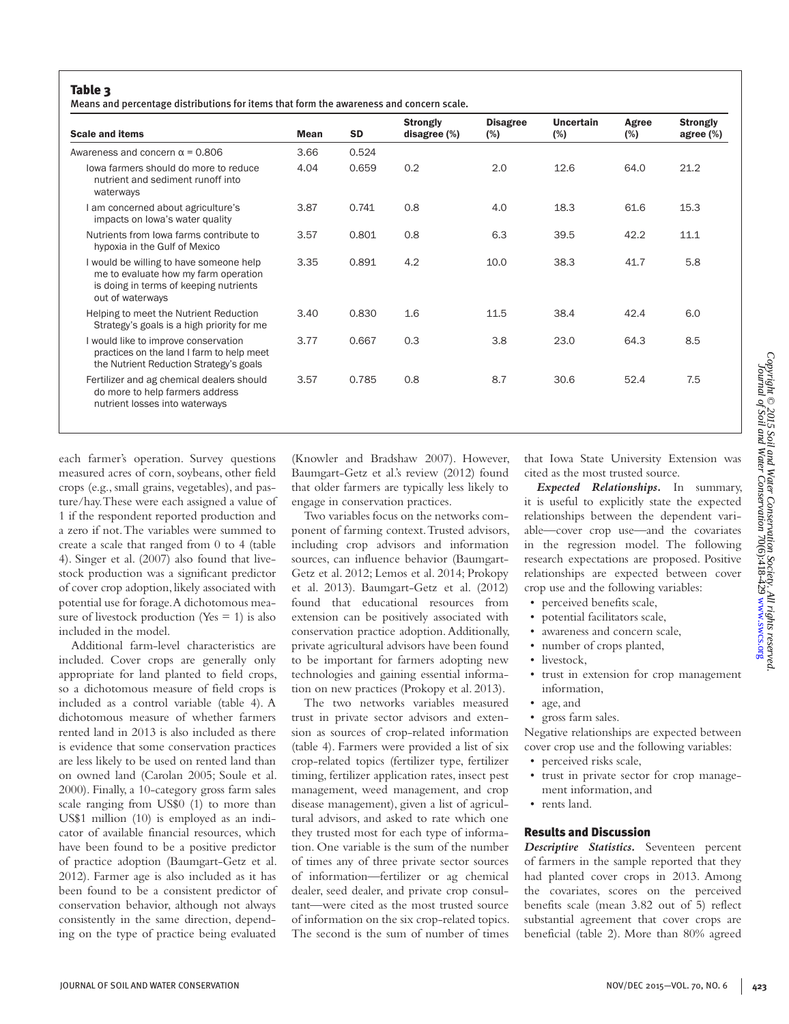Means and percentage distributions for items that form the awareness and concern scale.

| <b>Scale and items</b>                                                                                                                        | <b>Mean</b> | <b>SD</b> | <b>Strongly</b><br>disagree $(\%)$ | <b>Disagree</b><br>$(\%)$ | Uncertain<br>$(\%)$ | Agree<br>$(\%)$ | <b>Strongly</b><br>agree $(\%)$ |
|-----------------------------------------------------------------------------------------------------------------------------------------------|-------------|-----------|------------------------------------|---------------------------|---------------------|-----------------|---------------------------------|
| Awareness and concern $\alpha$ = 0.806                                                                                                        | 3.66        | 0.524     |                                    |                           |                     |                 |                                 |
| lowa farmers should do more to reduce<br>nutrient and sediment runoff into<br>waterways                                                       | 4.04        | 0.659     | 0.2                                | 2.0                       | 12.6                | 64.0            | 21.2                            |
| I am concerned about agriculture's<br>impacts on lowa's water quality                                                                         | 3.87        | 0.741     | 0.8                                | 4.0                       | 18.3                | 61.6            | 15.3                            |
| Nutrients from lowa farms contribute to<br>hypoxia in the Gulf of Mexico                                                                      | 3.57        | 0.801     | 0.8                                | 6.3                       | 39.5                | 42.2            | 11.1                            |
| I would be willing to have someone help<br>me to evaluate how my farm operation<br>is doing in terms of keeping nutrients<br>out of waterways | 3.35        | 0.891     | 4.2                                | 10.0                      | 38.3                | 41.7            | 5.8                             |
| Helping to meet the Nutrient Reduction<br>Strategy's goals is a high priority for me                                                          | 3.40        | 0.830     | 1.6                                | 11.5                      | 38.4                | 42.4            | 6.0                             |
| I would like to improve conservation<br>practices on the land I farm to help meet<br>the Nutrient Reduction Strategy's goals                  | 3.77        | 0.667     | 0.3                                | 3.8                       | 23.0                | 64.3            | 8.5                             |
| Fertilizer and ag chemical dealers should<br>do more to help farmers address<br>nutrient losses into waterways                                | 3.57        | 0.785     | 0.8                                | 8.7                       | 30.6                | 52.4            | 7.5                             |

each farmer's operation. Survey questions measured acres of corn, soybeans, other field crops (e.g., small grains, vegetables), and pasture/hay. These were each assigned a value of 1 if the respondent reported production and a zero if not. The variables were summed to create a scale that ranged from 0 to 4 (table 4). Singer et al. (2007) also found that livestock production was a significant predictor of cover crop adoption, likely associated with potential use for forage. A dichotomous measure of livestock production (Yes  $= 1$ ) is also included in the model.

Additional farm-level characteristics are included. Cover crops are generally only appropriate for land planted to field crops, so a dichotomous measure of field crops is included as a control variable (table 4). A dichotomous measure of whether farmers rented land in 2013 is also included as there is evidence that some conservation practices are less likely to be used on rented land than on owned land (Carolan 2005; Soule et al. 2000). Finally, a 10-category gross farm sales scale ranging from US\$0 (1) to more than US\$1 million (10) is employed as an indicator of available financial resources, which have been found to be a positive predictor of practice adoption (Baumgart-Getz et al. 2012). Farmer age is also included as it has been found to be a consistent predictor of conservation behavior, although not always consistently in the same direction, depending on the type of practice being evaluated

(Knowler and Bradshaw 2007). However, Baumgart-Getz et al.'s review (2012) found that older farmers are typically less likely to engage in conservation practices.

Two variables focus on the networks component of farming context. Trusted advisors, including crop advisors and information sources, can influence behavior (Baumgart-Getz et al. 2012; Lemos et al. 2014; Prokopy et al. 2013). Baumgart-Getz et al. (2012) found that educational resources from extension can be positively associated with conservation practice adoption. Additionally, private agricultural advisors have been found to be important for farmers adopting new technologies and gaining essential information on new practices (Prokopy et al. 2013).

The two networks variables measured trust in private sector advisors and extension as sources of crop-related information (table 4). Farmers were provided a list of six crop-related topics (fertilizer type, fertilizer timing, fertilizer application rates, insect pest management, weed management, and crop disease management), given a list of agricultural advisors, and asked to rate which one they trusted most for each type of information. One variable is the sum of the number of times any of three private sector sources of information—fertilizer or ag chemical dealer, seed dealer, and private crop consultant—were cited as the most trusted source of information on the six crop-related topics. The second is the sum of number of times that Iowa State University Extension was cited as the most trusted source.

*Expected Relationships.* In summary, it is useful to explicitly state the expected relationships between the dependent variable—cover crop use—and the covariates in the regression model. The following research expectations are proposed. Positive relationships are expected between cover crop use and the following variables:

- perceived benefits scale,
- potential facilitators scale,
- awareness and concern scale,
- number of crops planted,
- livestock,
- trust in extension for crop management information,
- age, and
- gross farm sales.

Negative relationships are expected between cover crop use and the following variables:

- perceived risks scale,
- trust in private sector for crop management information, and
- rents land.

## Results and Discussion

*Descriptive Statistics.* Seventeen percent of farmers in the sample reported that they had planted cover crops in 2013. Among the covariates, scores on the perceived benefits scale (mean 3.82 out of 5) reflect substantial agreement that cover crops are beneficial (table 2). More than 80% agreed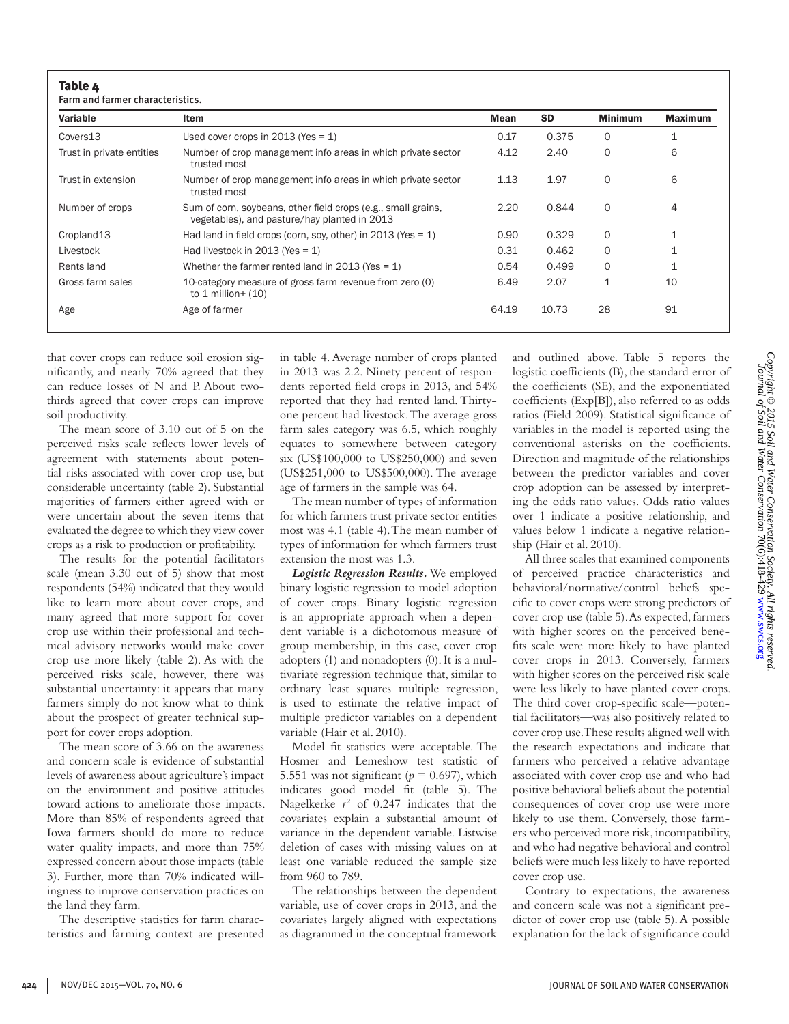Farm and farmer characteristics.

| Variable                  | Item                                                                                                          | Mean  | <b>SD</b> | <b>Minimum</b> | <b>Maximum</b> |
|---------------------------|---------------------------------------------------------------------------------------------------------------|-------|-----------|----------------|----------------|
| Covers13                  | Used cover crops in 2013 (Yes = $1$ )                                                                         | 0.17  | 0.375     | 0              | 1              |
| Trust in private entities | Number of crop management info areas in which private sector<br>trusted most                                  | 4.12  | 2.40      | 0              | 6              |
| Trust in extension        | Number of crop management info areas in which private sector<br>trusted most                                  | 1.13  | 1.97      | 0              | 6              |
| Number of crops           | Sum of corn, soybeans, other field crops (e.g., small grains,<br>vegetables), and pasture/hay planted in 2013 | 2.20  | 0.844     | 0              | 4              |
| Cropland13                | Had land in field crops (corn, soy, other) in 2013 (Yes = $1$ )                                               | 0.90  | 0.329     | 0              | 1              |
| Livestock                 | Had livestock in 2013 (Yes = $1$ )                                                                            | 0.31  | 0.462     | 0              | 1              |
| Rents land                | Whether the farmer rented land in 2013 (Yes = $1$ )                                                           | 0.54  | 0.499     | 0              | 1              |
| Gross farm sales          | 10-category measure of gross farm revenue from zero (0)<br>to $1$ million + $(10)$                            | 6.49  | 2.07      | 1              | 10             |
| Age                       | Age of farmer                                                                                                 | 64.19 | 10.73     | 28             | 91             |

that cover crops can reduce soil erosion significantly, and nearly 70% agreed that they can reduce losses of N and P. About twothirds agreed that cover crops can improve soil productivity.

The mean score of 3.10 out of 5 on the perceived risks scale reflects lower levels of agreement with statements about potential risks associated with cover crop use, but considerable uncertainty (table 2). Substantial majorities of farmers either agreed with or were uncertain about the seven items that evaluated the degree to which they view cover crops as a risk to production or profitability.

The results for the potential facilitators scale (mean 3.30 out of 5) show that most respondents (54%) indicated that they would like to learn more about cover crops, and many agreed that more support for cover crop use within their professional and technical advisory networks would make cover crop use more likely (table 2). As with the perceived risks scale, however, there was substantial uncertainty: it appears that many farmers simply do not know what to think about the prospect of greater technical support for cover crops adoption.

The mean score of 3.66 on the awareness and concern scale is evidence of substantial levels of awareness about agriculture's impact on the environment and positive attitudes toward actions to ameliorate those impacts. More than 85% of respondents agreed that Iowa farmers should do more to reduce water quality impacts, and more than 75% expressed concern about those impacts (table 3). Further, more than 70% indicated willingness to improve conservation practices on the land they farm.

The descriptive statistics for farm characteristics and farming context are presented in table 4. Average number of crops planted in 2013 was 2.2. Ninety percent of respondents reported field crops in 2013, and 54% reported that they had rented land. Thirtyone percent had livestock. The average gross farm sales category was 6.5, which roughly equates to somewhere between category six (US\$100,000 to US\$250,000) and seven (US\$251,000 to US\$500,000). The average age of farmers in the sample was 64.

The mean number of types of information for which farmers trust private sector entities most was 4.1 (table 4). The mean number of types of information for which farmers trust extension the most was 1.3.

*Logistic Regression Results.* We employed binary logistic regression to model adoption of cover crops. Binary logistic regression is an appropriate approach when a dependent variable is a dichotomous measure of group membership, in this case, cover crop adopters (1) and nonadopters (0). It is a multivariate regression technique that, similar to ordinary least squares multiple regression, is used to estimate the relative impact of multiple predictor variables on a dependent variable (Hair et al. 2010).

Model fit statistics were acceptable. The Hosmer and Lemeshow test statistic of 5.551 was not significant ( $p = 0.697$ ), which indicates good model fit (table 5). The Nagelkerke  $r^2$  of 0.247 indicates that the covariates explain a substantial amount of variance in the dependent variable. Listwise deletion of cases with missing values on at least one variable reduced the sample size from 960 to 789.

The relationships between the dependent variable, use of cover crops in 2013, and the covariates largely aligned with expectations as diagrammed in the conceptual framework

and outlined above. Table 5 reports the logistic coefficients (B), the standard error of the coefficients (SE), and the exponentiated coefficients (Exp[B]), also referred to as odds ratios (Field 2009). Statistical significance of variables in the model is reported using the conventional asterisks on the coefficients. Direction and magnitude of the relationships between the predictor variables and cover crop adoption can be assessed by interpreting the odds ratio values. Odds ratio values over 1 indicate a positive relationship, and values below 1 indicate a negative relationship (Hair et al. 2010).

All three scales that examined components of perceived practice characteristics and behavioral/normative/control beliefs specific to cover crops were strong predictors of cover crop use (table 5). As expected, farmers with higher scores on the perceived benefits scale were more likely to have planted cover crops in 2013. Conversely, farmers with higher scores on the perceived risk scale were less likely to have planted cover crops. The third cover crop-specific scale—potential facilitators—was also positively related to cover crop use. These results aligned well with the research expectations and indicate that farmers who perceived a relative advantage associated with cover crop use and who had positive behavioral beliefs about the potential consequences of cover crop use were more likely to use them. Conversely, those farmers who perceived more risk, incompatibility, and who had negative behavioral and control beliefs were much less likely to have reported cover crop use.

Contrary to expectations, the awareness and concern scale was not a significant predictor of cover crop use (table 5). A possible explanation for the lack of significance could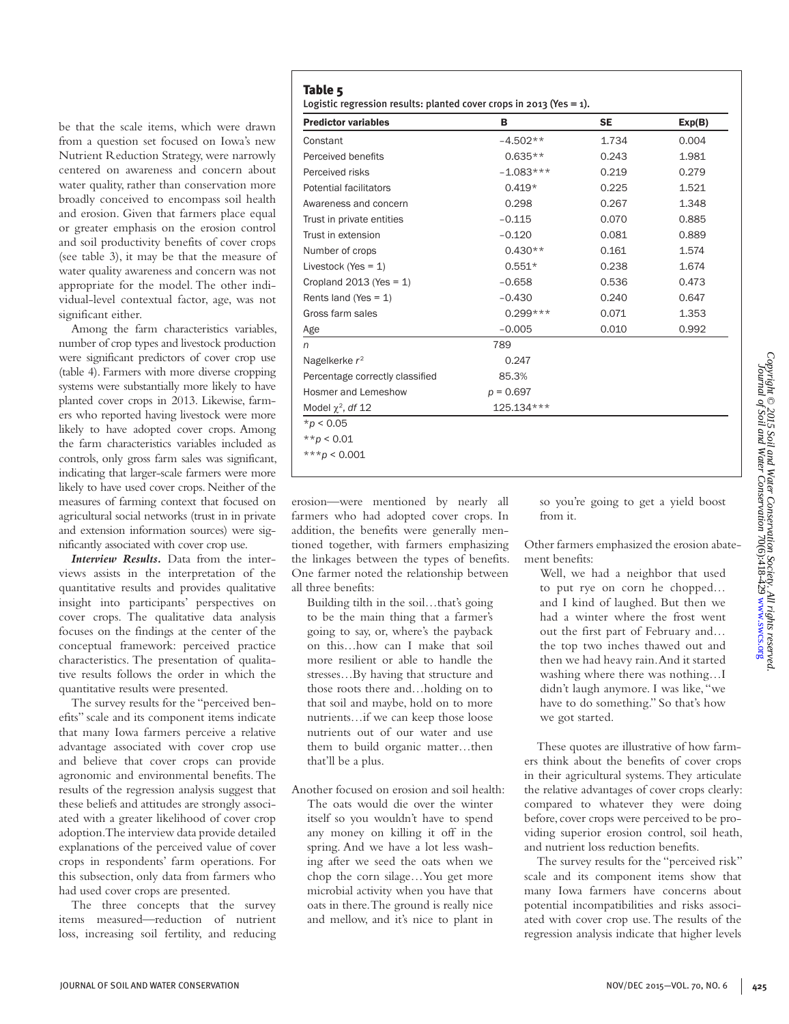be that the scale items, which were drawn from a question set focused on Iowa's new Nutrient Reduction Strategy, were narrowly centered on awareness and concern about water quality, rather than conservation more broadly conceived to encompass soil health and erosion. Given that farmers place equal or greater emphasis on the erosion control and soil productivity benefits of cover crops (see table 3), it may be that the measure of water quality awareness and concern was not appropriate for the model. The other individual-level contextual factor, age, was not significant either.

Among the farm characteristics variables, number of crop types and livestock production were significant predictors of cover crop use (table 4). Farmers with more diverse cropping systems were substantially more likely to have planted cover crops in 2013. Likewise, farmers who reported having livestock were more likely to have adopted cover crops. Among the farm characteristics variables included as controls, only gross farm sales was significant, indicating that larger-scale farmers were more likely to have used cover crops. Neither of the measures of farming context that focused on agricultural social networks (trust in in private and extension information sources) were significantly associated with cover crop use.

*Interview Results.* Data from the interviews assists in the interpretation of the quantitative results and provides qualitative insight into participants' perspectives on cover crops. The qualitative data analysis focuses on the findings at the center of the conceptual framework: perceived practice characteristics. The presentation of qualitative results follows the order in which the quantitative results were presented.

The survey results for the "perceived benefits" scale and its component items indicate that many Iowa farmers perceive a relative advantage associated with cover crop use and believe that cover crops can provide agronomic and environmental benefits. The results of the regression analysis suggest that these beliefs and attitudes are strongly associated with a greater likelihood of cover crop adoption. The interview data provide detailed explanations of the perceived value of cover crops in respondents' farm operations. For this subsection, only data from farmers who had used cover crops are presented.

The three concepts that the survey items measured—reduction of nutrient loss, increasing soil fertility, and reducing

| <b>Predictor variables</b>      | в           | <b>SE</b> | Exp(B) |
|---------------------------------|-------------|-----------|--------|
| Constant                        | $-4.502**$  | 1.734     | 0.004  |
| Perceived benefits              | $0.635**$   | 0.243     | 1.981  |
| Perceived risks                 | $-1.083***$ | 0.219     | 0.279  |
| Potential facilitators          | $0.419*$    | 0.225     | 1.521  |
| Awareness and concern           | 0.298       | 0.267     | 1.348  |
| Trust in private entities       | $-0.115$    | 0.070     | 0.885  |
| Trust in extension              | $-0.120$    | 0.081     | 0.889  |
| Number of crops                 | $0.430**$   | 0.161     | 1.574  |
| Livestock (Yes = 1)             | $0.551*$    | 0.238     | 1.674  |
| Cropland $2013$ (Yes = 1)       | $-0.658$    | 0.536     | 0.473  |
| Rents land (Yes = $1$ )         | $-0.430$    | 0.240     | 0.647  |
| Gross farm sales                | $0.299***$  | 0.071     | 1.353  |
| Age                             | $-0.005$    | 0.010     | 0.992  |
| n                               | 789         |           |        |
| Nagelkerke r <sup>2</sup>       | 0.247       |           |        |
| Percentage correctly classified | 85.3%       |           |        |
|                                 |             |           |        |

\**p* < 0.05

\*\**p* < 0.01

\*\*\**p* < 0.001

erosion—were mentioned by nearly all farmers who had adopted cover crops. In addition, the benefits were generally mentioned together, with farmers emphasizing the linkages between the types of benefits. One farmer noted the relationship between all three benefits:

Hosmer and Lemeshow *p* = 0.697 Model  $\chi^2$ , *df* 12 125.134\*\*\*

Building tilth in the soil…that's going to be the main thing that a farmer's going to say, or, where's the payback on this…how can I make that soil more resilient or able to handle the stresses…By having that structure and those roots there and…holding on to that soil and maybe, hold on to more nutrients…if we can keep those loose nutrients out of our water and use them to build organic matter…then that'll be a plus.

Another focused on erosion and soil health: The oats would die over the winter itself so you wouldn't have to spend any money on killing it off in the spring. And we have a lot less washing after we seed the oats when we chop the corn silage…You get more microbial activity when you have that oats in there. The ground is really nice and mellow, and it's nice to plant in

so you're going to get a yield boost from it.

Other farmers emphasized the erosion abatement benefits:

Well, we had a neighbor that used to put rye on corn he chopped… and I kind of laughed. But then we had a winter where the frost went out the first part of February and… the top two inches thawed out and then we had heavy rain. And it started washing where there was nothing…I didn't laugh anymore. I was like, "we have to do something." So that's how we got started.

These quotes are illustrative of how farmers think about the benefits of cover crops in their agricultural systems. They articulate the relative advantages of cover crops clearly: compared to whatever they were doing before, cover crops were perceived to be providing superior erosion control, soil heath, and nutrient loss reduction benefits.

The survey results for the "perceived risk" scale and its component items show that many Iowa farmers have concerns about potential incompatibilities and risks associated with cover crop use. The results of the regression analysis indicate that higher levels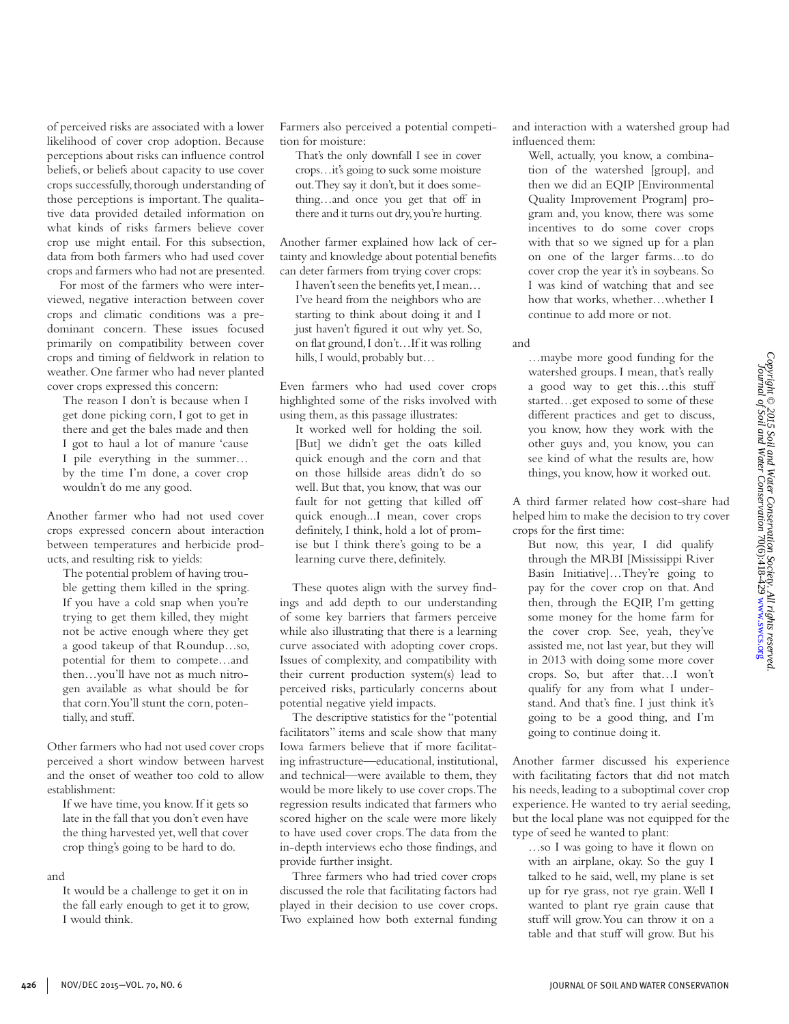tion of the watershed [group], and then we did an EQIP [Environmental Quality Improvement Program] program and, you know, there was some incentives to do some cover crops with that so we signed up for a plan on one of the larger farms…to do cover crop the year it's in soybeans. So I was kind of watching that and see how that works, whether…whether I continue to add more or not. …maybe more good funding for the

and interaction with a watershed group had

Well, actually, you know, a combina-

influenced them:

and

watershed groups. I mean, that's really a good way to get this…this stuff started…get exposed to some of these different practices and get to discuss, you know, how they work with the other guys and, you know, you can see kind of what the results are, how things, you know, how it worked out.

A third farmer related how cost-share had helped him to make the decision to try cover crops for the first time:

But now, this year, I did qualify through the MRBI [Mississippi River Basin Initiative]…They're going to pay for the cover crop on that. And then, through the EQIP, I'm getting some money for the home farm for the cover crop. See, yeah, they've assisted me, not last year, but they will in 2013 with doing some more cover crops. So, but after that…I won't qualify for any from what I understand. And that's fine. I just think it's going to be a good thing, and I'm going to continue doing it.

Another farmer discussed his experience with facilitating factors that did not match his needs, leading to a suboptimal cover crop experience. He wanted to try aerial seeding, but the local plane was not equipped for the type of seed he wanted to plant:

…so I was going to have it flown on with an airplane, okay. So the guy I talked to he said, well, my plane is set up for rye grass, not rye grain. Well I wanted to plant rye grain cause that stuff will grow. You can throw it on a table and that stuff will grow. But his

of perceived risks are associated with a lower likelihood of cover crop adoption. Because perceptions about risks can influence control beliefs, or beliefs about capacity to use cover crops successfully, thorough understanding of those perceptions is important. The qualitative data provided detailed information on what kinds of risks farmers believe cover crop use might entail. For this subsection, data from both farmers who had used cover crops and farmers who had not are presented.

For most of the farmers who were interviewed, negative interaction between cover crops and climatic conditions was a predominant concern. These issues focused primarily on compatibility between cover crops and timing of fieldwork in relation to weather. One farmer who had never planted cover crops expressed this concern:

The reason I don't is because when I get done picking corn, I got to get in there and get the bales made and then I got to haul a lot of manure 'cause I pile everything in the summer… by the time I'm done, a cover crop wouldn't do me any good.

Another farmer who had not used cover crops expressed concern about interaction between temperatures and herbicide products, and resulting risk to yields:

The potential problem of having trouble getting them killed in the spring. If you have a cold snap when you're trying to get them killed, they might not be active enough where they get a good takeup of that Roundup…so, potential for them to compete…and then…you'll have not as much nitrogen available as what should be for that corn. You'll stunt the corn, potentially, and stuff.

Other farmers who had not used cover crops perceived a short window between harvest and the onset of weather too cold to allow establishment:

If we have time, you know. If it gets so late in the fall that you don't even have the thing harvested yet, well that cover crop thing's going to be hard to do.

### and

It would be a challenge to get it on in the fall early enough to get it to grow, I would think.

Farmers also perceived a potential competition for moisture:

That's the only downfall I see in cover crops…it's going to suck some moisture out. They say it don't, but it does something…and once you get that off in there and it turns out dry, you're hurting.

Another farmer explained how lack of certainty and knowledge about potential benefits can deter farmers from trying cover crops:

I haven't seen the benefits yet, I mean… I've heard from the neighbors who are starting to think about doing it and I just haven't figured it out why yet. So, on flat ground, I don't…If it was rolling hills, I would, probably but…

Even farmers who had used cover crops highlighted some of the risks involved with using them, as this passage illustrates:

It worked well for holding the soil. [But] we didn't get the oats killed quick enough and the corn and that on those hillside areas didn't do so well. But that, you know, that was our fault for not getting that killed off quick enough...I mean, cover crops definitely, I think, hold a lot of promise but I think there's going to be a learning curve there, definitely.

These quotes align with the survey findings and add depth to our understanding of some key barriers that farmers perceive while also illustrating that there is a learning curve associated with adopting cover crops. Issues of complexity, and compatibility with their current production system(s) lead to perceived risks, particularly concerns about potential negative yield impacts.

The descriptive statistics for the "potential facilitators" items and scale show that many Iowa farmers believe that if more facilitating infrastructure—educational, institutional, and technical—were available to them, they would be more likely to use cover crops. The regression results indicated that farmers who scored higher on the scale were more likely to have used cover crops. The data from the in-depth interviews echo those findings, and provide further insight.

Three farmers who had tried cover crops discussed the role that facilitating factors had played in their decision to use cover crops. Two explained how both external funding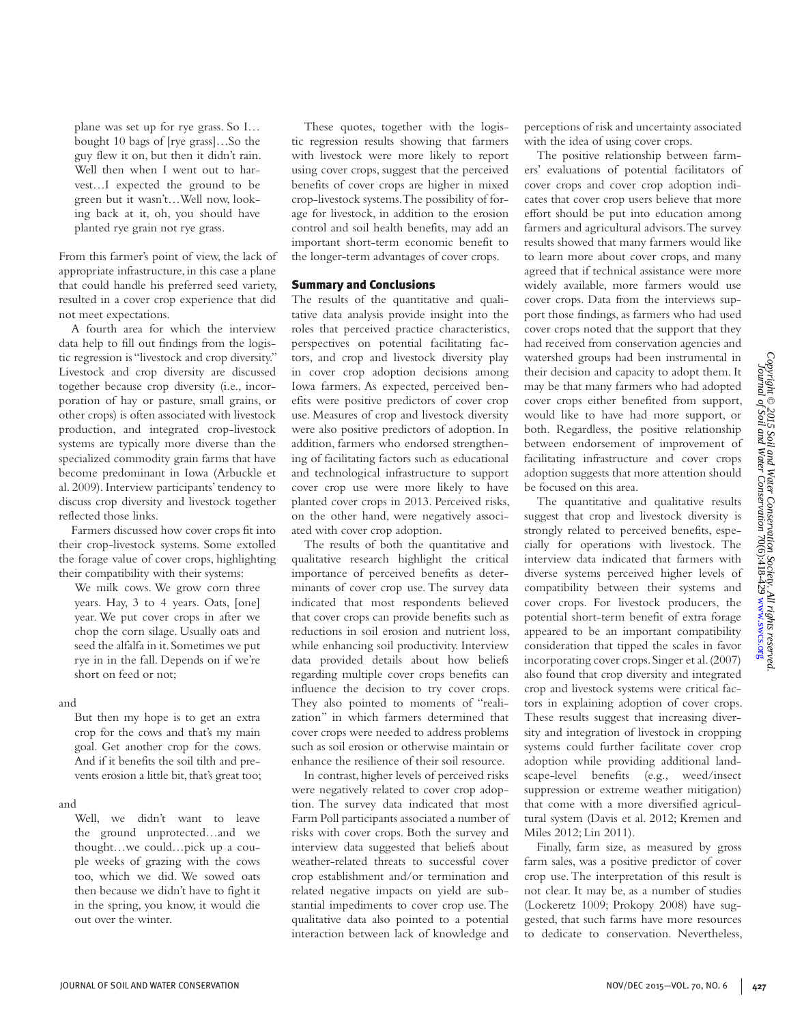plane was set up for rye grass. So I… bought 10 bags of [rye grass]…So the guy flew it on, but then it didn't rain. Well then when I went out to harvest…I expected the ground to be green but it wasn't…Well now, looking back at it, oh, you should have planted rye grain not rye grass.

From this farmer's point of view, the lack of appropriate infrastructure, in this case a plane that could handle his preferred seed variety, resulted in a cover crop experience that did not meet expectations.

A fourth area for which the interview data help to fill out findings from the logistic regression is "livestock and crop diversity." Livestock and crop diversity are discussed together because crop diversity (i.e., incorporation of hay or pasture, small grains, or other crops) is often associated with livestock production, and integrated crop-livestock systems are typically more diverse than the specialized commodity grain farms that have become predominant in Iowa (Arbuckle et al. 2009). Interview participants' tendency to discuss crop diversity and livestock together reflected those links.

Farmers discussed how cover crops fit into their crop-livestock systems. Some extolled the forage value of cover crops, highlighting their compatibility with their systems:

We milk cows. We grow corn three years. Hay, 3 to 4 years. Oats, [one] year. We put cover crops in after we chop the corn silage. Usually oats and seed the alfalfa in it. Sometimes we put rye in in the fall. Depends on if we're short on feed or not;

## and

But then my hope is to get an extra crop for the cows and that's my main goal. Get another crop for the cows. And if it benefits the soil tilth and prevents erosion a little bit, that's great too;

### and

Well, we didn't want to leave the ground unprotected…and we thought…we could…pick up a couple weeks of grazing with the cows too, which we did. We sowed oats then because we didn't have to fight it in the spring, you know, it would die out over the winter.

These quotes, together with the logistic regression results showing that farmers with livestock were more likely to report using cover crops, suggest that the perceived benefits of cover crops are higher in mixed crop-livestock systems. The possibility of forage for livestock, in addition to the erosion control and soil health benefits, may add an important short-term economic benefit to the longer-term advantages of cover crops.

## Summary and Conclusions

The results of the quantitative and qualitative data analysis provide insight into the roles that perceived practice characteristics, perspectives on potential facilitating factors, and crop and livestock diversity play in cover crop adoption decisions among Iowa farmers. As expected, perceived benefits were positive predictors of cover crop use. Measures of crop and livestock diversity were also positive predictors of adoption. In addition, farmers who endorsed strengthening of facilitating factors such as educational and technological infrastructure to support cover crop use were more likely to have planted cover crops in 2013. Perceived risks, on the other hand, were negatively associated with cover crop adoption.

The results of both the quantitative and qualitative research highlight the critical importance of perceived benefits as determinants of cover crop use. The survey data indicated that most respondents believed that cover crops can provide benefits such as reductions in soil erosion and nutrient loss, while enhancing soil productivity. Interview data provided details about how beliefs regarding multiple cover crops benefits can influence the decision to try cover crops. They also pointed to moments of "realization" in which farmers determined that cover crops were needed to address problems such as soil erosion or otherwise maintain or enhance the resilience of their soil resource.

In contrast, higher levels of perceived risks were negatively related to cover crop adoption. The survey data indicated that most Farm Poll participants associated a number of risks with cover crops. Both the survey and interview data suggested that beliefs about weather-related threats to successful cover crop establishment and/or termination and related negative impacts on yield are substantial impediments to cover crop use. The qualitative data also pointed to a potential interaction between lack of knowledge and perceptions of risk and uncertainty associated with the idea of using cover crops.

The positive relationship between farmers' evaluations of potential facilitators of cover crops and cover crop adoption indicates that cover crop users believe that more effort should be put into education among farmers and agricultural advisors. The survey results showed that many farmers would like to learn more about cover crops, and many agreed that if technical assistance were more widely available, more farmers would use cover crops. Data from the interviews support those findings, as farmers who had used cover crops noted that the support that they had received from conservation agencies and watershed groups had been instrumental in their decision and capacity to adopt them. It may be that many farmers who had adopted cover crops either benefited from support, would like to have had more support, or both. Regardless, the positive relationship between endorsement of improvement of facilitating infrastructure and cover crops adoption suggests that more attention should be focused on this area.

The quantitative and qualitative results suggest that crop and livestock diversity is strongly related to perceived benefits, especially for operations with livestock. The interview data indicated that farmers with diverse systems perceived higher levels of compatibility between their systems and cover crops. For livestock producers, the potential short-term benefit of extra forage appeared to be an important compatibility consideration that tipped the scales in favor incorporating cover crops. Singer et al. (2007) also found that crop diversity and integrated crop and livestock systems were critical factors in explaining adoption of cover crops. These results suggest that increasing diversity and integration of livestock in cropping systems could further facilitate cover crop adoption while providing additional landscape-level benefits (e.g., weed/insect suppression or extreme weather mitigation) that come with a more diversified agricultural system (Davis et al. 2012; Kremen and Miles 2012; Lin 2011).

Finally, farm size, as measured by gross farm sales, was a positive predictor of cover crop use. The interpretation of this result is not clear. It may be, as a number of studies (Lockeretz 1009; Prokopy 2008) have suggested, that such farms have more resources to dedicate to conservation. Nevertheless,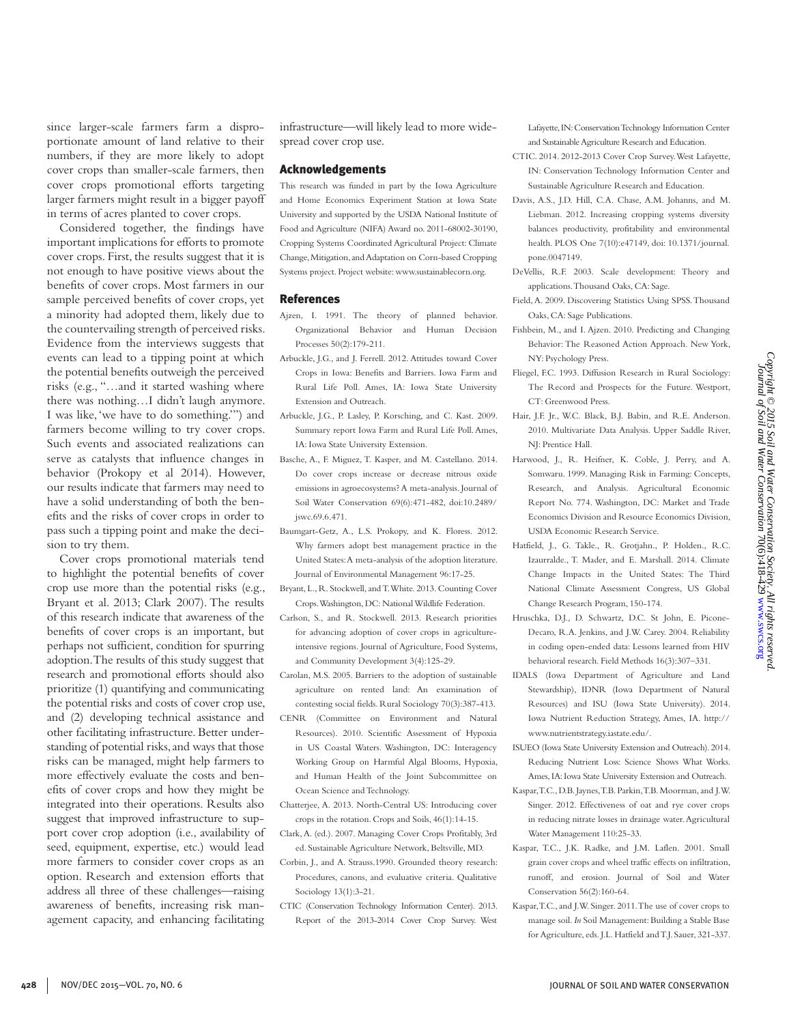since larger-scale farmers farm a disproportionate amount of land relative to their numbers, if they are more likely to adopt cover crops than smaller-scale farmers, then cover crops promotional efforts targeting larger farmers might result in a bigger payoff in terms of acres planted to cover crops.

Considered together, the findings have important implications for efforts to promote cover crops. First, the results suggest that it is not enough to have positive views about the benefits of cover crops. Most farmers in our sample perceived benefits of cover crops, yet a minority had adopted them, likely due to the countervailing strength of perceived risks. Evidence from the interviews suggests that events can lead to a tipping point at which the potential benefits outweigh the perceived risks (e.g., "…and it started washing where there was nothing…I didn't laugh anymore. I was like, 'we have to do something.'") and farmers become willing to try cover crops. Such events and associated realizations can serve as catalysts that influence changes in behavior (Prokopy et al 2014). However, our results indicate that farmers may need to have a solid understanding of both the benefits and the risks of cover crops in order to pass such a tipping point and make the decision to try them.

Cover crops promotional materials tend to highlight the potential benefits of cover crop use more than the potential risks (e.g., Bryant et al. 2013; Clark 2007). The results of this research indicate that awareness of the benefits of cover crops is an important, but perhaps not sufficient, condition for spurring adoption. The results of this study suggest that research and promotional efforts should also prioritize (1) quantifying and communicating the potential risks and costs of cover crop use, and (2) developing technical assistance and other facilitating infrastructure. Better understanding of potential risks, and ways that those risks can be managed, might help farmers to more effectively evaluate the costs and benefits of cover crops and how they might be integrated into their operations. Results also suggest that improved infrastructure to support cover crop adoption (i.e., availability of seed, equipment, expertise, etc.) would lead more farmers to consider cover crops as an option. Research and extension efforts that address all three of these challenges—raising awareness of benefits, increasing risk management capacity, and enhancing facilitating

infrastructure—will likely lead to more widespread cover crop use.

### Acknowledgements

This research was funded in part by the Iowa Agriculture and Home Economics Experiment Station at Iowa State University and supported by the USDA National Institute of Food and Agriculture (NIFA) Award no. 2011-68002-30190, Cropping Systems Coordinated Agricultural Project: Climate Change, Mitigation, and Adaptation on Corn-based Cropping Systems project. Project website: www.sustainablecorn.org.

#### References

- Ajzen, I. 1991. The theory of planned behavior. Organizational Behavior and Human Decision Processes 50(2):179-211.
- Arbuckle, J.G., and J. Ferrell. 2012. Attitudes toward Cover Crops in Iowa: Benefits and Barriers. Iowa Farm and Rural Life Poll. Ames, IA: Iowa State University Extension and Outreach.
- Arbuckle, J.G., P. Lasley, P. Korsching, and C. Kast. 2009. Summary report Iowa Farm and Rural Life Poll. Ames, IA: Iowa State University Extension.
- Basche, A., F. Miguez, T. Kasper, and M. Castellano. 2014. Do cover crops increase or decrease nitrous oxide emissions in agroecosystems? A meta-analysis. Journal of Soil Water Conservation 69(6):471-482, doi:10.2489/ jswc.69.6.471.
- Baumgart-Getz, A., L.S. Prokopy, and K. Floress. 2012. Why farmers adopt best management practice in the United States: A meta-analysis of the adoption literature. Journal of Environmental Management 96:17-25.
- Bryant, L., R. Stockwell, and T. White. 2013. Counting Cover Crops. Washington, DC: National Wildlife Federation.
- Carlson, S., and R. Stockwell. 2013. Research priorities for advancing adoption of cover crops in agricultureintensive regions. Journal of Agriculture, Food Systems, and Community Development 3(4):125-29.
- Carolan, M.S. 2005. Barriers to the adoption of sustainable agriculture on rented land: An examination of contesting social fields. Rural Sociology 70(3):387-413.
- CENR (Committee on Environment and Natural Resources). 2010. Scientific Assessment of Hypoxia in US Coastal Waters. Washington, DC: Interagency Working Group on Harmful Algal Blooms, Hypoxia, and Human Health of the Joint Subcommittee on Ocean Science and Technology.
- Chatterjee, A. 2013. North-Central US: Introducing cover crops in the rotation. Crops and Soils, 46(1):14-15.
- Clark, A. (ed.). 2007. Managing Cover Crops Profitably, 3rd ed. Sustainable Agriculture Network, Beltsville, MD.
- Corbin, J., and A. Strauss.1990. Grounded theory research: Procedures, canons, and evaluative criteria. Qualitative Sociology 13(1):3-21.
- CTIC (Conservation Technology Information Center). 2013. Report of the 2013-2014 Cover Crop Survey. West

Lafayette, IN: Conservation Technology Information Center and Sustainable Agriculture Research and Education.

- CTIC. 2014. 2012-2013 Cover Crop Survey. West Lafayette, IN: Conservation Technology Information Center and Sustainable Agriculture Research and Education.
- Davis, A.S., J.D. Hill, C.A. Chase, A.M. Johanns, and M. Liebman. 2012. Increasing cropping systems diversity balances productivity, profitability and environmental health. PLOS One 7(10):e47149, doi: 10.1371/journal. pone.0047149.
- DeVellis, R.F. 2003. Scale development: Theory and applications. Thousand Oaks, CA: Sage.
- Field, A. 2009. Discovering Statistics Using SPSS. Thousand Oaks, CA: Sage Publications.
- Fishbein, M., and I. Ajzen. 2010. Predicting and Changing Behavior: The Reasoned Action Approach. New York, NY: Psychology Press.
- Fliegel, F.C. 1993. Diffusion Research in Rural Sociology: The Record and Prospects for the Future. Westport, CT: Greenwood Press.
- Hair, J.F. Jr., W.C. Black, B.J. Babin, and R.E. Anderson. 2010. Multivariate Data Analysis. Upper Saddle River, NJ: Prentice Hall.
- Harwood, J., R. Heifner, K. Coble, J. Perry, and A. Somwaru. 1999. Managing Risk in Farming: Concepts, Research, and Analysis. Agricultural Economic Report No. 774. Washington, DC: Market and Trade Economics Division and Resource Economics Division, USDA Economic Research Service.
- Hatfield, J., G. Takle., R. Grotjahn., P. Holden., R.C. Izaurralde., T. Mader, and E. Marshall. 2014. Climate Change Impacts in the United States: The Third National Climate Assessment Congress, US Global Change Research Program, 150-174.
- Hruschka, D.J., D. Schwartz, D.C. St John, E. Picone-Decaro, R.A. Jenkins, and J.W. Carey. 2004. Reliability in coding open-ended data: Lessons learned from HIV behavioral research. Field Methods 16(3):307–331.
- IDALS (Iowa Department of Agriculture and Land Stewardship), IDNR (Iowa Department of Natural Resources) and ISU (Iowa State University). 2014. Iowa Nutrient Reduction Strategy, Ames, IA. http:// www.nutrientstrategy.iastate.edu/.
- ISUEO (Iowa State University Extension and Outreach). 2014. Reducing Nutrient Loss: Science Shows What Works. Ames, IA: Iowa State University Extension and Outreach.
- Kaspar, T.C., D.B. Jaynes, T.B. Parkin, T.B. Moorman, and J.W. Singer. 2012. Effectiveness of oat and rye cover crops in reducing nitrate losses in drainage water. Agricultural Water Management 110:25-33.
- Kaspar, T.C., J.K. Radke, and J.M. Laflen. 2001. Small grain cover crops and wheel traffic effects on infiltration, runoff, and erosion. Journal of Soil and Water Conservation 56(2):160-64.
- Kaspar, T.C., and J.W. Singer. 2011. The use of cover crops to manage soil. *In* Soil Management: Building a Stable Base for Agriculture, eds. J.L. Hatfield and T.J. Sauer, 321-337.